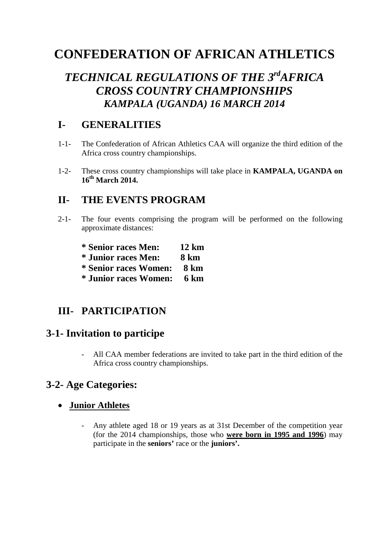# **CONFEDERATION OF AFRICAN ATHLETICS**

# *TECHNICAL REGULATIONS OF THE 3rdAFRICA CROSS COUNTRY CHAMPIONSHIPS KAMPALA (UGANDA) 16 MARCH 2014*

### **I- GENERALITIES**

- 1-1- The Confederation of African Athletics CAA will organize the third edition of the Africa cross country championships.
- 1-2- These cross country championships will take place in **KAMPALA, UGANDA on 16th March 2014.**

#### **II- THE EVENTS PROGRAM**

- 2-1- The four events comprising the program will be performed on the following approximate distances:
	- **\* Senior races Men: 12 km**
	- **\* Junior races Men: 8 km**
	- **\* Senior races Women: 8 km**
	- **\* Junior races Women: 6 km**

## **III- PARTICIPATION**

#### **3-1- Invitation to participe**

- All CAA member federations are invited to take part in the third edition of the Africa cross country championships.

## **3-2- Age Categories:**

#### • **Junior Athletes**

- Any athlete aged 18 or 19 years as at 31st December of the competition year (for the 2014 championships, those who **were born in 1995 and 1996**) may participate in the **seniors'** race or the **juniors'.**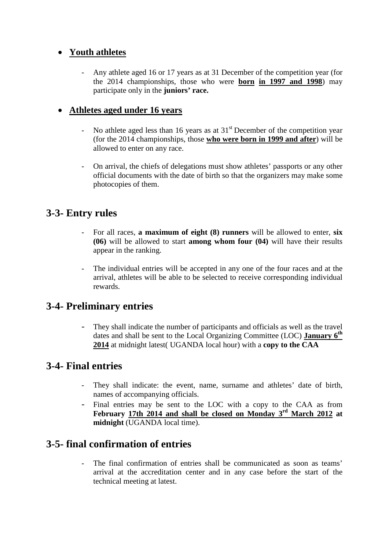#### • **Youth athletes**

Any athlete aged 16 or 17 years as at 31 December of the competition year (for the 2014 championships, those who were **born in 1997 and 1998**) may participate only in the **juniors' race.**

#### • **Athletes aged under 16 years**

- No athlete aged less than 16 years as at  $31<sup>st</sup>$  December of the competition year (for the 2014 championships, those **who were born in 1999 and after**) will be allowed to enter on any race.
- On arrival, the chiefs of delegations must show athletes' passports or any other official documents with the date of birth so that the organizers may make some photocopies of them.

#### **3-3- Entry rules**

- For all races, **a maximum of eight (8) runners** will be allowed to enter, **six (06)** will be allowed to start **among whom four (04)** will have their results appear in the ranking.
- The individual entries will be accepted in any one of the four races and at the arrival, athletes will be able to be selected to receive corresponding individual rewards.

### **3-4- Preliminary entries**

They shall indicate the number of participants and officials as well as the travel dates and shall be sent to the Local Organizing Committee (LOC) **January 6th 2014** at midnight latest( UGANDA local hour) with a **copy to the CAA**

### **3-4- Final entries**

- They shall indicate: the event, name, surname and athletes' date of birth, names of accompanying officials.
- Final entries may be sent to the LOC with a copy to the CAA as from **February 17th 2014 and shall be closed on Monday 3rd March 2012 at midnight** (UGANDA local time).

## **3-5- final confirmation of entries**

- The final confirmation of entries shall be communicated as soon as teams' arrival at the accreditation center and in any case before the start of the technical meeting at latest.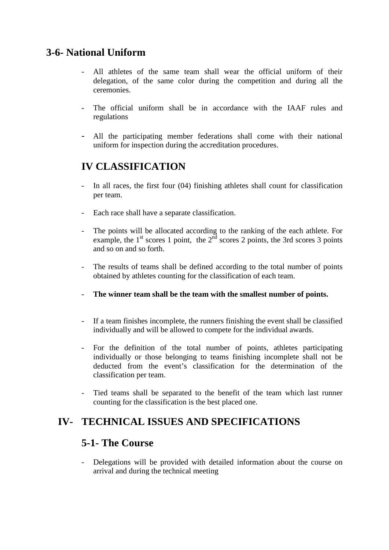### **3-6- National Uniform**

- All athletes of the same team shall wear the official uniform of their delegation, of the same color during the competition and during all the ceremonies.
- The official uniform shall be in accordance with the IAAF rules and regulations
- All the participating member federations shall come with their national uniform for inspection during the accreditation procedures.

## **IV CLASSIFICATION**

- In all races, the first four (04) finishing athletes shall count for classification per team.
- Each race shall have a separate classification.
- The points will be allocated according to the ranking of the each athlete. For example, the  $1<sup>st</sup>$  scores 1 point, the  $2<sup>nd</sup>$  scores 2 points, the 3rd scores 3 points and so on and so forth.
- The results of teams shall be defined according to the total number of points obtained by athletes counting for the classification of each team.
- The winner team shall be the team with the smallest number of points.
- If a team finishes incomplete, the runners finishing the event shall be classified individually and will be allowed to compete for the individual awards.
- For the definition of the total number of points, athletes participating individually or those belonging to teams finishing incomplete shall not be deducted from the event's classification for the determination of the classification per team.
- Tied teams shall be separated to the benefit of the team which last runner counting for the classification is the best placed one.

## **IV- TECHNICAL ISSUES AND SPECIFICATIONS**

#### **5-1- The Course**

- Delegations will be provided with detailed information about the course on arrival and during the technical meeting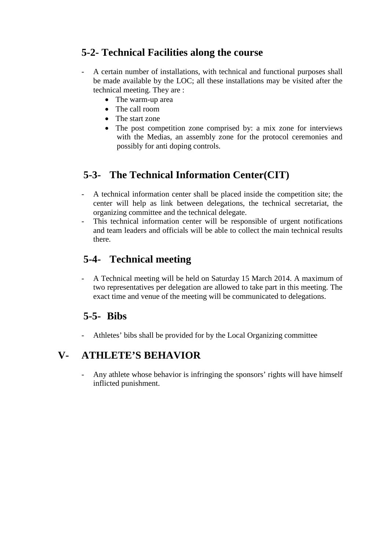## **5-2- Technical Facilities along the course**

- A certain number of installations, with technical and functional purposes shall be made available by the LOC; all these installations may be visited after the technical meeting. They are :
	- The warm-up area
	- The call room
	- The start zone
	- The post competition zone comprised by: a mix zone for interviews with the Medias, an assembly zone for the protocol ceremonies and possibly for anti doping controls.

## **5-3- The Technical Information Center(CIT)**

- A technical information center shall be placed inside the competition site; the center will help as link between delegations, the technical secretariat, the organizing committee and the technical delegate.
- This technical information center will be responsible of urgent notifications and team leaders and officials will be able to collect the main technical results there.

## **5-4- Technical meeting**

- A Technical meeting will be held on Saturday 15 March 2014. A maximum of two representatives per delegation are allowed to take part in this meeting. The exact time and venue of the meeting will be communicated to delegations.

### **5-5- Bibs**

- Athletes' bibs shall be provided for by the Local Organizing committee

## **V- ATHLETE'S BEHAVIOR**

- Any athlete whose behavior is infringing the sponsors' rights will have himself inflicted punishment.